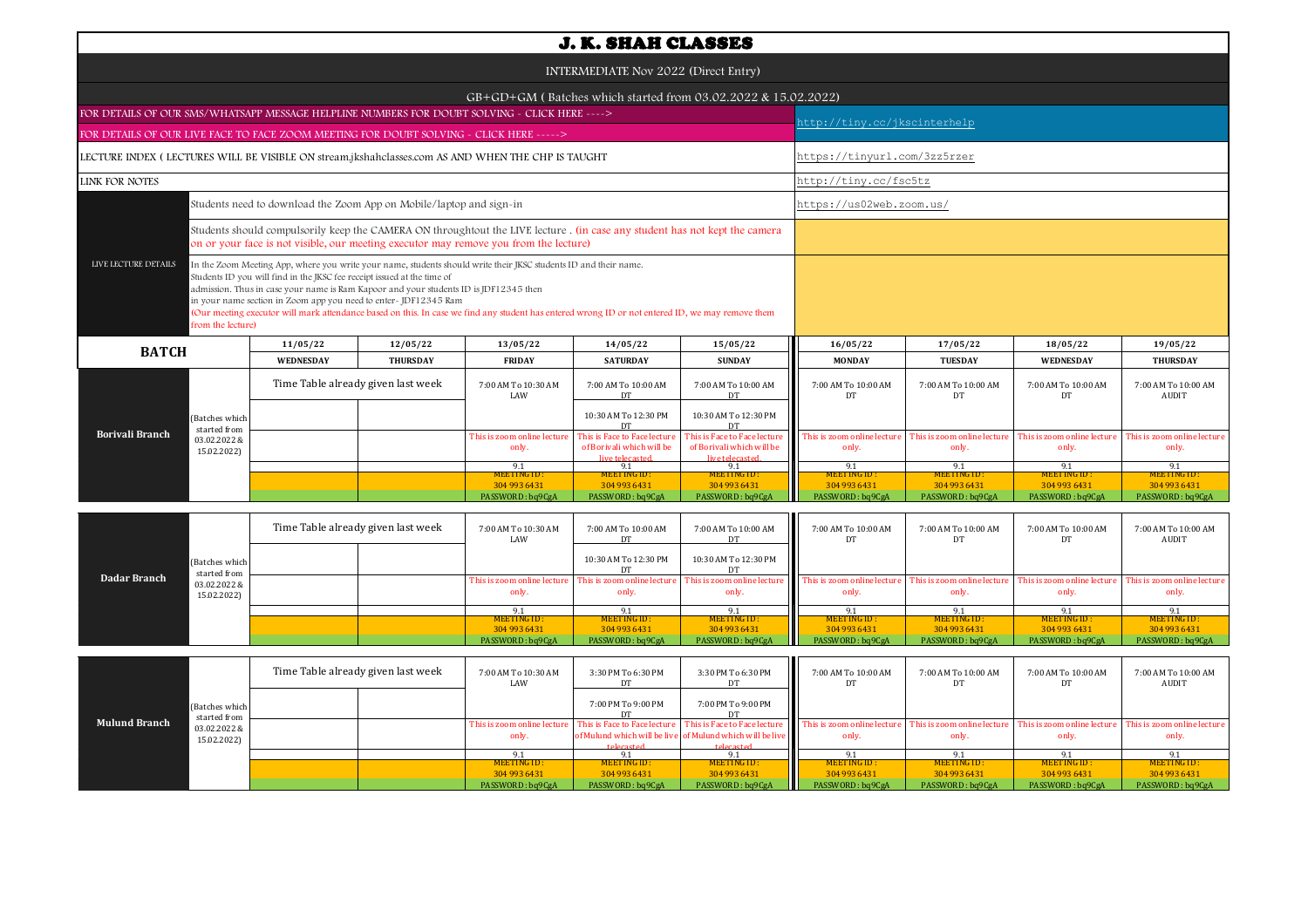| <b>J. K. SHAH CLASSES</b>                                                                                                                                                                                                                                                                                                                                                                                                                                                                                                                                |                                                                                                                                                                                                                      |                 |                                      |                                                                              |                                                                              |                                      |                                     |                                      |                                      |  |  |  |
|----------------------------------------------------------------------------------------------------------------------------------------------------------------------------------------------------------------------------------------------------------------------------------------------------------------------------------------------------------------------------------------------------------------------------------------------------------------------------------------------------------------------------------------------------------|----------------------------------------------------------------------------------------------------------------------------------------------------------------------------------------------------------------------|-----------------|--------------------------------------|------------------------------------------------------------------------------|------------------------------------------------------------------------------|--------------------------------------|-------------------------------------|--------------------------------------|--------------------------------------|--|--|--|
| INTERMEDIATE Nov 2022 (Direct Entry)                                                                                                                                                                                                                                                                                                                                                                                                                                                                                                                     |                                                                                                                                                                                                                      |                 |                                      |                                                                              |                                                                              |                                      |                                     |                                      |                                      |  |  |  |
| GB+GD+GM (Batches which started from 03.02.2022 & 15.02.2022)                                                                                                                                                                                                                                                                                                                                                                                                                                                                                            |                                                                                                                                                                                                                      |                 |                                      |                                                                              |                                                                              |                                      |                                     |                                      |                                      |  |  |  |
| FOR DETAILS OF OUR SMS/WHATSAPP MESSAGE HELPLINE NUMBERS FOR DOUBT SOLVING - CLICK HERE ---->                                                                                                                                                                                                                                                                                                                                                                                                                                                            |                                                                                                                                                                                                                      |                 |                                      |                                                                              |                                                                              |                                      | nttp://tiny.cc/jkscinterhelp        |                                      |                                      |  |  |  |
| FOR DETAILS OF OUR LIVE FACE TO FACE ZOOM MEETING FOR DOUBT SOLVING - CLICK HERE ----->                                                                                                                                                                                                                                                                                                                                                                                                                                                                  |                                                                                                                                                                                                                      |                 |                                      |                                                                              |                                                                              |                                      |                                     |                                      |                                      |  |  |  |
| LECTURE INDEX (LECTURES WILL BE VISIBLE ON stream.jkshahclasses.com AS AND WHEN THE CHP IS TAUGHT                                                                                                                                                                                                                                                                                                                                                                                                                                                        |                                                                                                                                                                                                                      |                 |                                      |                                                                              |                                                                              |                                      | https://tinyurl.com/3zz5rzer        |                                      |                                      |  |  |  |
| <b>LINK FOR NOTES</b>                                                                                                                                                                                                                                                                                                                                                                                                                                                                                                                                    |                                                                                                                                                                                                                      |                 |                                      |                                                                              |                                                                              | http://tiny.cc/fsc5tz                |                                     |                                      |                                      |  |  |  |
|                                                                                                                                                                                                                                                                                                                                                                                                                                                                                                                                                          | Students need to download the Zoom App on Mobile/laptop and sign-in                                                                                                                                                  |                 |                                      |                                                                              |                                                                              | https://us02web.zoom.us/             |                                     |                                      |                                      |  |  |  |
|                                                                                                                                                                                                                                                                                                                                                                                                                                                                                                                                                          | Students should compulsorily keep the CAMERA ON throughtout the LIVE lecture . (in case any student has not kept the camera<br>on or your face is not visible, our meeting executor may remove you from the lecture) |                 |                                      |                                                                              |                                                                              |                                      |                                     |                                      |                                      |  |  |  |
| LIVE LECTURE DETAILS<br>In the Zoom Meeting App, where you write your name, students should write their JKSC students ID and their name.<br>Students ID you will find in the JKSC fee receipt issued at the time of<br>admission. Thus in case your name is Ram Kapoor and your students ID is JDF12345 then<br>in your name section in Zoom app you need to enter-JDF12345 Ram<br>(Our meeting executor will mark attendance based on this. In case we find any student has entered wrong ID or not entered ID, we may remove them<br>from the lecture) |                                                                                                                                                                                                                      |                 |                                      |                                                                              |                                                                              |                                      |                                     |                                      |                                      |  |  |  |
| <b>BATCH</b>                                                                                                                                                                                                                                                                                                                                                                                                                                                                                                                                             | 11/05/22                                                                                                                                                                                                             | 12/05/22        | 13/05/22                             | 14/05/22                                                                     | 15/05/22                                                                     | 16/05/22                             | 17/05/22                            | 18/05/22                             | 19/05/22                             |  |  |  |
|                                                                                                                                                                                                                                                                                                                                                                                                                                                                                                                                                          | WEDNESDAY                                                                                                                                                                                                            | <b>THURSDAY</b> | <b>FRIDAY</b>                        | <b>SATURDAY</b>                                                              | <b>SUNDAY</b>                                                                | <b>MONDAY</b>                        | <b>TUESDAY</b>                      | <b>WEDNESDAY</b>                     | <b>THURSDAY</b>                      |  |  |  |
|                                                                                                                                                                                                                                                                                                                                                                                                                                                                                                                                                          | Time Table already given last week                                                                                                                                                                                   |                 | 7:00 AM To 10:30 AM<br>LAW           | 7:00 AM To 10:00 AM<br>DT                                                    | 7:00 AM To 10:00 AM<br>DT                                                    | 7:00 AM To 10:00 AM<br>DT            | 7:00 AM To 10:00 AM<br>DT           | 7:00 AM To 10:00 AM<br>DT            | 7:00 AM To 10:00 AM<br>AUDIT         |  |  |  |
| (Batches which<br>started from                                                                                                                                                                                                                                                                                                                                                                                                                                                                                                                           |                                                                                                                                                                                                                      |                 |                                      | 10:30 AM To 12:30 PM<br><b>DT</b>                                            | 10:30 AM To 12:30 PM<br><b>DT</b>                                            |                                      |                                     |                                      |                                      |  |  |  |
| <b>Borivali Branch</b><br>03.02.2022 &<br>15.02.2022)                                                                                                                                                                                                                                                                                                                                                                                                                                                                                                    |                                                                                                                                                                                                                      |                 | This is zoom online lecture<br>only. | This is Face to Face lecture<br>of Borivali which will be<br>live telecasted | This is Face to Face lecture<br>of Borivali which will be<br>live telecasted | This is zoom online lecture<br>only. | This is zoom online lectur<br>only. | This is zoom online lecture<br>only. | This is zoom online lecture<br>only. |  |  |  |
|                                                                                                                                                                                                                                                                                                                                                                                                                                                                                                                                                          |                                                                                                                                                                                                                      |                 | 9.1<br>MEETING ID:                   | 9.1<br>MEETING ID:                                                           | 9.1<br>MEETING ID:                                                           | 9.1<br>MEETING ID:                   | 9.1<br>MEETING ID :                 | 9.1<br>MEETING ID:                   | 9.1<br>MEETING ID:                   |  |  |  |
|                                                                                                                                                                                                                                                                                                                                                                                                                                                                                                                                                          |                                                                                                                                                                                                                      |                 | 304 993 6431                         | 304 993 6431                                                                 | 304 993 6431                                                                 | 304 993 6431                         | 304 993 6431                        | 304 993 6431                         | 304 993 6431                         |  |  |  |
|                                                                                                                                                                                                                                                                                                                                                                                                                                                                                                                                                          |                                                                                                                                                                                                                      |                 | PASSWORD: bq9CgA                     | PASSWORD: bq9CgA                                                             | PASSWORD: bq9CgA                                                             | PASSWORD: bq9CgA                     | PASSWORD: bq9CgA                    | PASSWORD: bq9CgA                     | PASSWORD: bq9CgA                     |  |  |  |

|              |  | (Batches which<br>started from<br>03.02.2022 &<br>15.02.2022) | Time Table already given last week |  | 7:00 AM To 10:30 AM<br>LAW                                                                  | 7:00 AM To 10:00 AM  | 7:00 AM To 10:00 AM<br>DT. | 7:00 AM To 10:00 AM                                                                                                      | 7:00 AM To 10:00 AM | 7:00 AM To 10:00 AM | 7:00 AM To 10:00 AM<br>AUDIT |
|--------------|--|---------------------------------------------------------------|------------------------------------|--|---------------------------------------------------------------------------------------------|----------------------|----------------------------|--------------------------------------------------------------------------------------------------------------------------|---------------------|---------------------|------------------------------|
|              |  |                                                               |                                    |  |                                                                                             | 10:30 AM To 12:30 PM | 10:30 AM To 12:30 PM       |                                                                                                                          |                     |                     |                              |
| Dadar Branch |  |                                                               |                                    |  | This is zoom online lecture This is zoom online lecture This is zoom online lecture<br>only | only.                | only.                      | This is zoom online lecture This is zoom online lecture This is zoom online lecture This is zoom online lecture<br>only. | only.               | only.               | only.                        |
|              |  |                                                               |                                    |  | 9.1                                                                                         |                      |                            |                                                                                                                          |                     |                     |                              |
|              |  |                                                               |                                    |  | MEETING ID:                                                                                 | MEETING ID:          | MEETING ID:                | MEETING ID:                                                                                                              | MEETING ID:         | MEETING ID:         | MEETING ID:                  |
|              |  |                                                               |                                    |  | 304 993 6431                                                                                | 304 993 6431         | 304 993 6431               | 304 993 6431                                                                                                             | 304 993 6431        | 304 993 6431        | 304 993 6431                 |
|              |  |                                                               |                                    |  | PASSWORD: bq9CgA                                                                            | PASSWORD: bq9CgA     | PASSWORD: bq9CgA           | PASSWORD: bq9CgA                                                                                                         | PASSWORD: bq9CgA    | PASSWORD : bq9CgA   | PASSWORD: bq9CgA             |

|                      |                                | Time Table already given last week |  | 7:00 AM To 10:30 AM<br>LAW | 3:30 PM To 6:30 PM | 3:30 PM To 6:30 PM                                        | Ш<br>7:00 AM To 10:00 AM                                                                                                                      | 7:00 AM To 10:00 AM | 7:00 AM To 10:00 AM         | 7:00 AM To 10:00 AM<br>AUDIT |
|----------------------|--------------------------------|------------------------------------|--|----------------------------|--------------------|-----------------------------------------------------------|-----------------------------------------------------------------------------------------------------------------------------------------------|---------------------|-----------------------------|------------------------------|
| <b>Mulund Branch</b> | (Batches which<br>started from |                                    |  |                            | 7:00 PM To 9:00 PM | 7:00 PM To 9:00 PM                                        |                                                                                                                                               |                     |                             |                              |
|                      | 03.02.2022 &                   |                                    |  |                            |                    |                                                           | This is zoom online lecture This is Face to Face lecture This is Face to Face lecture This is zoom online lecture This is zoom online lecture |                     | This is zoom online lecture | This is zoom online lecture  |
|                      | 15.02.2022)                    |                                    |  | only.                      |                    | of Mulund which will be live of Mulund which will be live | only.                                                                                                                                         | only.               | only.                       | only.                        |
|                      |                                |                                    |  |                            | telecasted         | telecasted.                                               |                                                                                                                                               |                     |                             |                              |
|                      |                                |                                    |  | $Q_1$                      |                    |                                                           |                                                                                                                                               |                     |                             |                              |
|                      |                                |                                    |  | MEETING ID:                | MEETING ID:        | MEETING ID:                                               | <b>MEETING ID:</b>                                                                                                                            | <b>MEETING ID:</b>  | MEETING ID:                 | MEETING ID:                  |
|                      |                                |                                    |  | 304 993 6431               | 304 993 6431       | 304 993 6431                                              | 304 993 6431                                                                                                                                  | 304 993 6431        | 304 993 6431                | 304 993 6431                 |
|                      |                                |                                    |  | PASSWORD: bq9CgA           | PASSWORD: bq9CgA   | PASSWORD: bq9CgA                                          | PASSWORD: bq9CgA                                                                                                                              | PASSWORD: bq9CgA    | PASSWORD: bq9CgA            | PASSWORD: bq9CgA             |